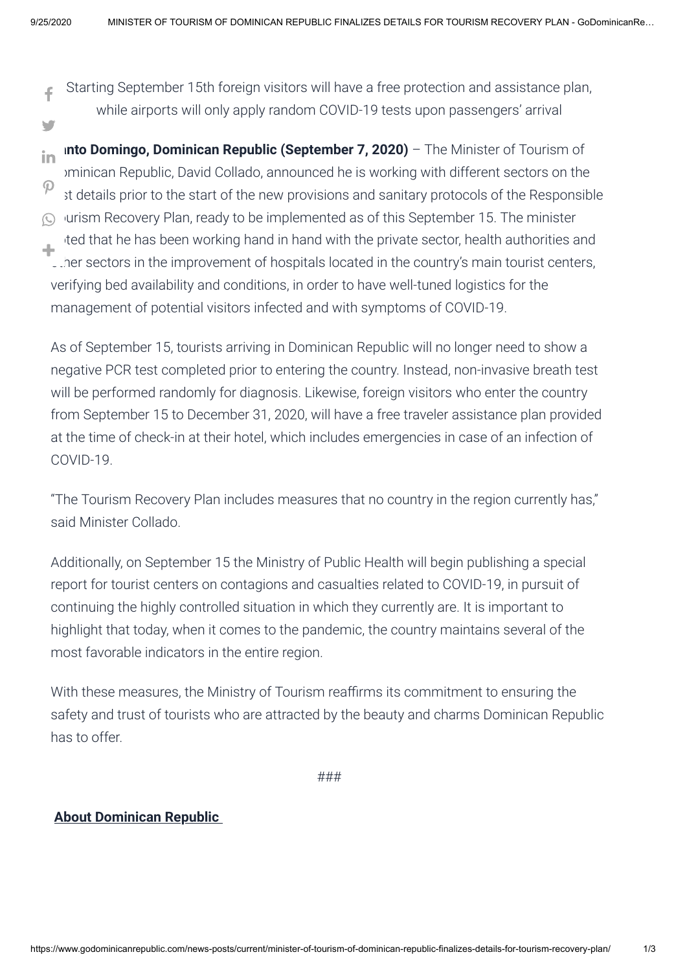d

- Starting September 15th foreign visitors will have a free protection and assistance plan, while airports will only apply random COVID-19 tests upon passengers' arrival [a](https://www.facebook.com/sharer/sharer.php?u=https://www.godominicanrepublic.com/news-posts/current/minister-of-tourism-of-dominican-republic-finalizes-details-for-tourism-recovery-plan/&t=MINISTER+OF+TOURISM+OF+DOMINICAN+REPUBLIC+FINALIZES+DETAILS+FOR+TOURISM+RECOVERY+PLAN)
- **Into Domingo, Dominican Republic (September 7, 2020)** The Minister of Tourism of Dominican Republic, David Collado, announced he is working with different sectors on the  $\check{\phantom{\phi}}$  it details prior to the start of the new provisions and sanitary protocols of the Responsible Jurism Recovery Plan, ready to be implemented as of this September 15. The minister ted that he has been working hand in hand with the private sector, health authorities and . The sectors in the improvement of hospitals located in the country's main tourist centers, verifying bed availability and conditions, in order to have well-tuned logistics for the management of potential visitors infected and with symptoms of COVID-19. in  $\mathcal{P}$  $\odot$ 1

As of September 15, tourists arriving in Dominican Republic will no longer need to show a negative PCR test completed prior to entering the country. Instead, non-invasive breath test will be performed randomly for diagnosis. Likewise, foreign visitors who enter the country from September 15 to December 31, 2020, will have a free traveler assistance plan provided at the time of check-in at their hotel, which includes emergencies in case of an infection of COVID-19.

"The Tourism Recovery Plan includes measures that no country in the region currently has," said Minister Collado.

Additionally, on September 15 the Ministry of Public Health will begin publishing a special report for tourist centers on contagions and casualties related to COVID-19, in pursuit of continuing the highly controlled situation in which they currently are. It is important to highlight that today, when it comes to the pandemic, the country maintains several of the most favorable indicators in the entire region.

With these measures, the Ministry of Tourism reaffirms its commitment to ensuring the safety and trust of tourists who are attracted by the beauty and charms Dominican Republic has to offer.

###

## **About Dominican Republic**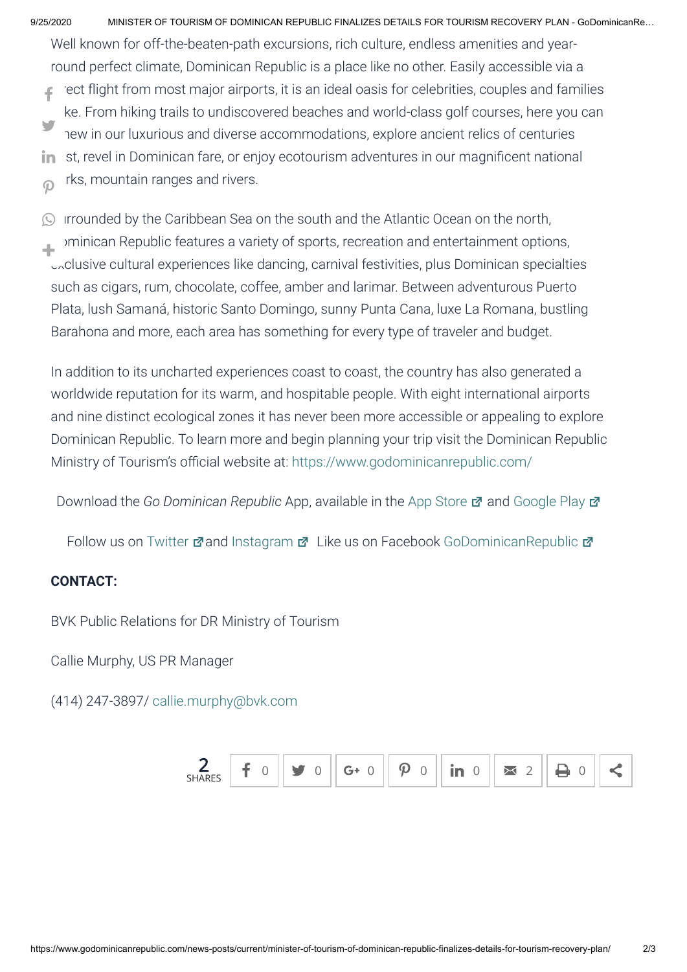9/25/2020 MINISTER OF TOURISM OF DOMINICAN REPUBLIC FINALIZES DETAILS FOR TOURISM RECOVERY PLAN - GoDominicanRe…

Well known for off-the-beaten-path excursions, rich culture, endless amenities and yearround perfect climate, Dominican Republic is a place like no other. Easily accessible via a

ect flight from most major airports, it is an ideal oasis for celebrities, couples and families ke. From hiking trails to undiscovered beaches and world-class golf courses, here you can hew in our luxurious and diverse accommodations, explore ancient relics of centuries st, revel in Dominican fare, or enjoy ecotourism adventures in our magnificent national [a](https://www.facebook.com/sharer/sharer.php?u=https://www.godominicanrepublic.com/news-posts/current/minister-of-tourism-of-dominican-republic-finalizes-details-for-tourism-recovery-plan/&t=MINISTER+OF+TOURISM+OF+DOMINICAN+REPUBLIC+FINALIZES+DETAILS+FOR+TOURISM+RECOVERY+PLAN)din

rks, mountain ranges and rivers.  $\overline{O}$ 

Irrounded by the Caribbean Sea on the south and the Atlantic Ocean on the north, Dominican Republic features a variety of sports, recreation and entertainment options, exclusive cultural experiences like dancing, carnival festivities, plus Dominican specialties such as cigars, rum, chocolate, coffee, amber and larimar. Between adventurous Puerto Plata, lush Samaná, historic Santo Domingo, sunny Punta Cana, luxe La Romana, bustling Barahona and more, each area has something for every type of traveler and budget.  $\odot$ 1

In addition to its uncharted experiences coast to coast, the country has also generated a worldwide reputation for its warm, and hospitable people. With eight international airports and nine distinct ecological zones it has never been more accessible or appealing to explore Dominican Republic. To learn more and begin planning your trip visit the Dominican Republic Ministry of Tourism's official website at: <https://www.godominicanrepublic.com/>

**Download the Go Dominican Republic App, available in the [App Store](https://itunes.apple.com/us/app/go-dominican-republic/id777707138?mt=8)**  $\vec{r}$  **and [Google Play](https://play.google.com/store/apps/details?id=com.dominican_republic.travel_guide&hl=en)**  $\vec{r}$ 

Follow us on [Twitter](https://twitter.com/GoDomRep) Mand [Instagram](https://www.instagram.com/godomrep/?hl=en) M Like us on Facebook [GoDominicanRepublic](https://www.facebook.com/godominicanrepublic) M

## **CONTACT:**

BVK Public Relations for DR Ministry of Tourism

Callie Murphy, US PR Manager

(414) 247-3897/ callie.murphy@byk.com